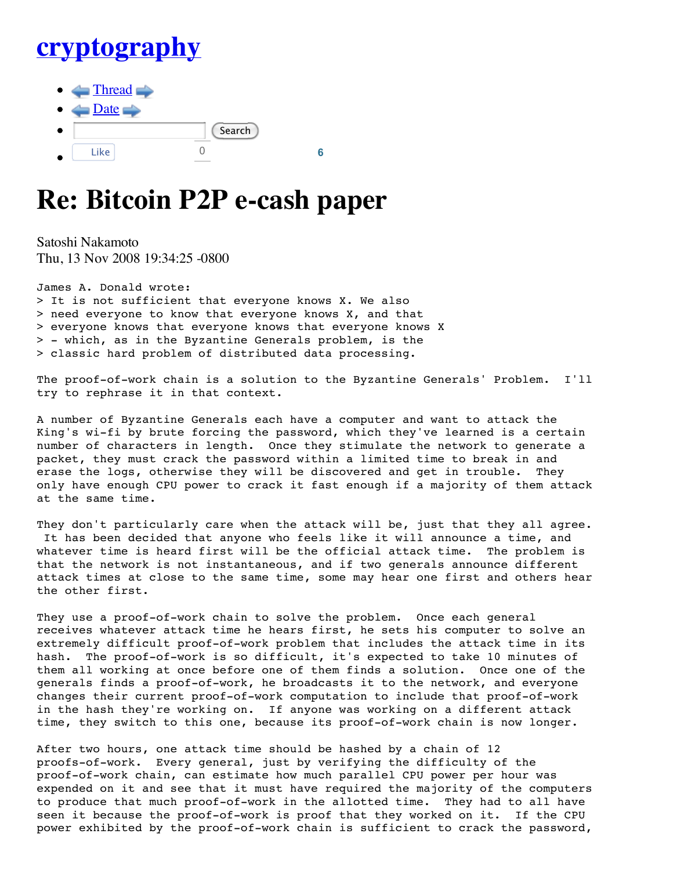## **cryptography**

 $\blacksquare$  Thread  $\blacksquare$  $\Box$ Date Search Like 0 **6**

## **Re: Bitcoin P2P e-cash paper**

Satoshi Nakamoto Thu, 13 Nov 2008 19:34:25 -0800

James A. Donald wrote: > It is not sufficient that everyone knows X. We also > need everyone to know that everyone knows X, and that > everyone knows that everyone knows that everyone knows X > - which, as in the Byzantine Generals problem, is the > classic hard problem of distributed data processing.

The proof-of-work chain is a solution to the Byzantine Generals' Problem. I'll try to rephrase it in that context.

A number of Byzantine Generals each have a computer and want to attack the King's wi-fi by brute forcing the password, which they've learned is a certain number of characters in length. Once they stimulate the network to generate a packet, they must crack the password within a limited time to break in and erase the logs, otherwise they will be discovered and get in trouble. They only have enough CPU power to crack it fast enough if a majority of them attack at the same time.

They don't particularly care when the attack will be, just that they all agree. It has been decided that anyone who feels like it will announce a time, and whatever time is heard first will be the official attack time. The problem is that the network is not instantaneous, and if two generals announce different attack times at close to the same time, some may hear one first and others hear the other first.

They use a proof-of-work chain to solve the problem. Once each general receives whatever attack time he hears first, he sets his computer to solve an extremely difficult proof-of-work problem that includes the attack time in its hash. The proof-of-work is so difficult, it's expected to take 10 minutes of them all working at once before one of them finds a solution. Once one of the generals finds a proof-of-work, he broadcasts it to the network, and everyone changes their current proof-of-work computation to include that proof-of-work in the hash they're working on. If anyone was working on a different attack time, they switch to this one, because its proof-of-work chain is now longer.

After two hours, one attack time should be hashed by a chain of 12 proofs-of-work. Every general, just by verifying the difficulty of the proof-of-work chain, can estimate how much parallel CPU power per hour was expended on it and see that it must have required the majority of the computers to produce that much proof-of-work in the allotted time. They had to all have seen it because the proof-of-work is proof that they worked on it. If the CPU power exhibited by the proof-of-work chain is sufficient to crack the password,